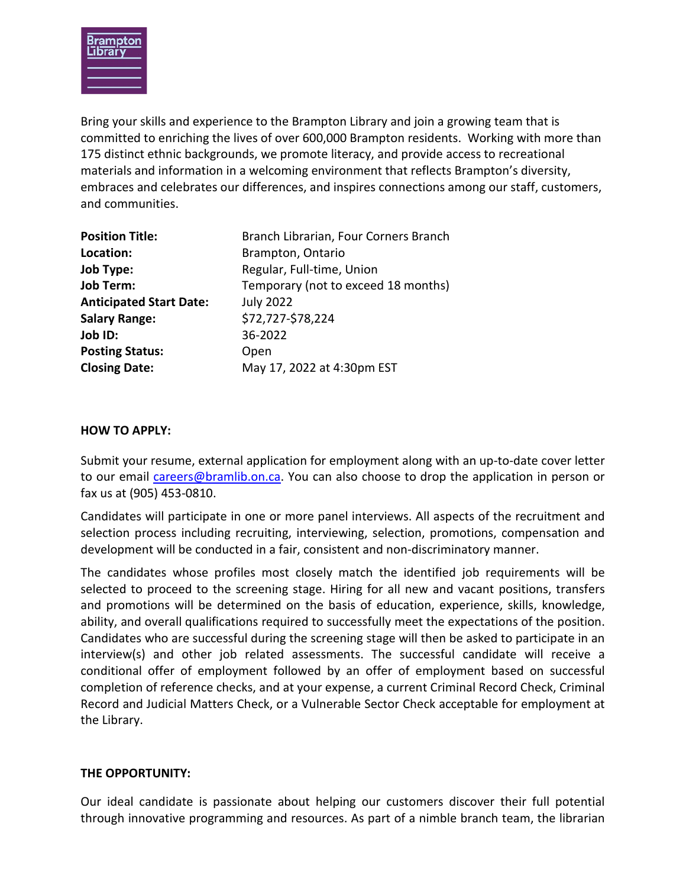

Bring your skills and experience to the Brampton Library and join a growing team that is committed to enriching the lives of over 600,000 Brampton residents. Working with more than 175 distinct ethnic backgrounds, we promote literacy, and provide access to recreational materials and information in a welcoming environment that reflects Brampton's diversity, embraces and celebrates our differences, and inspires connections among our staff, customers, and communities.

| <b>Position Title:</b>         | Branch Librarian, Four Corners Branch |
|--------------------------------|---------------------------------------|
| Location:                      | Brampton, Ontario                     |
| <b>Job Type:</b>               | Regular, Full-time, Union             |
| <b>Job Term:</b>               | Temporary (not to exceed 18 months)   |
| <b>Anticipated Start Date:</b> | <b>July 2022</b>                      |
| <b>Salary Range:</b>           | \$72,727-\$78,224                     |
| Job ID:                        | 36-2022                               |
| <b>Posting Status:</b>         | Open                                  |
| <b>Closing Date:</b>           | May 17, 2022 at 4:30pm EST            |

#### **HOW TO APPLY:**

Submit your resume, external application for employment along with an up-to-date cover letter to our email [careers@bramlib.on.ca.](mailto:careers@bramlib.on.ca) You can also choose to drop the application in person or fax us at (905) 453-0810.

Candidates will participate in one or more panel interviews. All aspects of the recruitment and selection process including recruiting, interviewing, selection, promotions, compensation and development will be conducted in a fair, consistent and non-discriminatory manner.

The candidates whose profiles most closely match the identified job requirements will be selected to proceed to the screening stage. Hiring for all new and vacant positions, transfers and promotions will be determined on the basis of education, experience, skills, knowledge, ability, and overall qualifications required to successfully meet the expectations of the position. Candidates who are successful during the screening stage will then be asked to participate in an interview(s) and other job related assessments. The successful candidate will receive a conditional offer of employment followed by an offer of employment based on successful completion of reference checks, and at your expense, a current Criminal Record Check, Criminal Record and Judicial Matters Check, or a Vulnerable Sector Check acceptable for employment at the Library.

# **THE OPPORTUNITY:**

Our ideal candidate is passionate about helping our customers discover their full potential through innovative programming and resources. As part of a nimble branch team, the librarian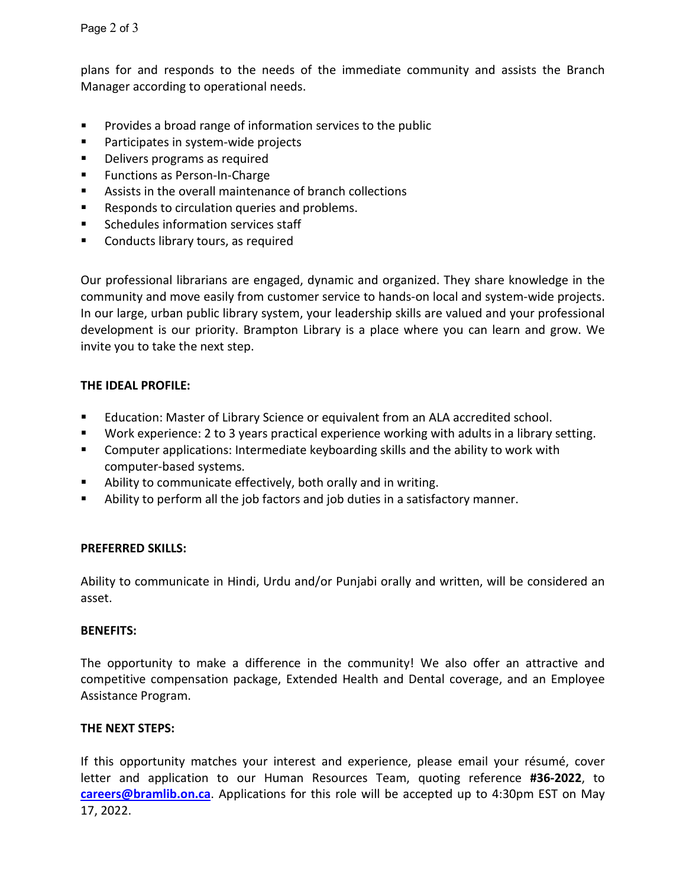plans for and responds to the needs of the immediate community and assists the Branch Manager according to operational needs.

- **Provides a broad range of information services to the public**
- **Participates in system-wide projects**
- **Delivers programs as required**
- **Functions as Person-In-Charge**
- Assists in the overall maintenance of branch collections
- Responds to circulation queries and problems.
- **Schedules information services staff**
- **EXECO** Conducts library tours, as required

Our professional librarians are engaged, dynamic and organized. They share knowledge in the community and move easily from customer service to hands-on local and system-wide projects. In our large, urban public library system, your leadership skills are valued and your professional development is our priority. Brampton Library is a place where you can learn and grow. We invite you to take the next step.

# **THE IDEAL PROFILE:**

- Education: Master of Library Science or equivalent from an ALA accredited school.
- Work experience: 2 to 3 years practical experience working with adults in a library setting.
- **EXTER** Computer applications: Intermediate keyboarding skills and the ability to work with computer-based systems.
- Ability to communicate effectively, both orally and in writing.
- Ability to perform all the job factors and job duties in a satisfactory manner.

# **PREFERRED SKILLS:**

Ability to communicate in Hindi, Urdu and/or Punjabi orally and written, will be considered an asset.

#### **BENEFITS:**

The opportunity to make a difference in the community! We also offer an attractive and competitive compensation package, Extended Health and Dental coverage, and an Employee Assistance Program.

#### **THE NEXT STEPS:**

If this opportunity matches your interest and experience, please email your résumé, cover letter and application to our Human Resources Team, quoting reference **#36-2022**, to **[careers@bramlib.on.ca](mailto:careers@bramlib.on.ca)**. Applications for this role will be accepted up to 4:30pm EST on May 17, 2022.